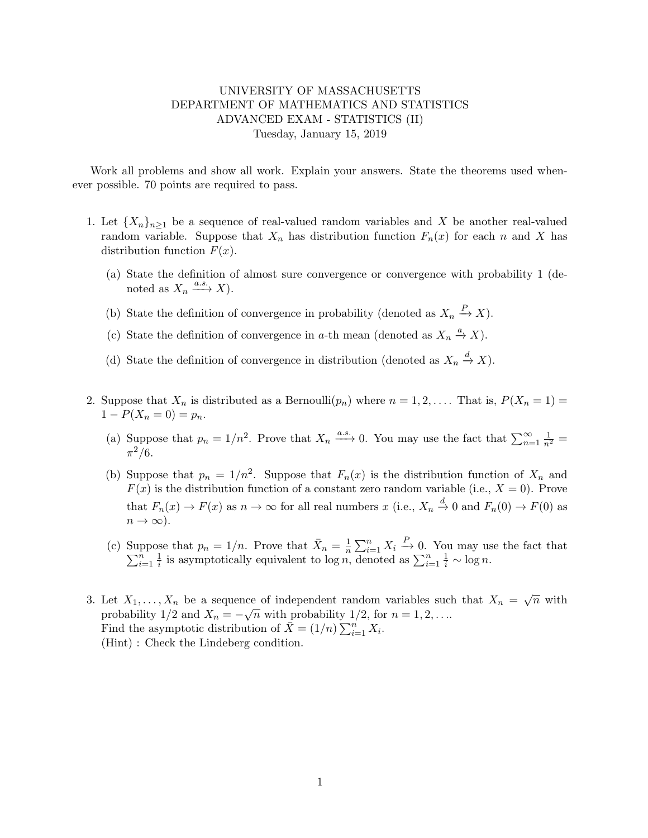## UNIVERSITY OF MASSACHUSETTS DEPARTMENT OF MATHEMATICS AND STATISTICS ADVANCED EXAM - STATISTICS (II) Tuesday, January 15, 2019

Work all problems and show all work. Explain your answers. State the theorems used whenever possible. 70 points are required to pass.

- 1. Let  ${X_n}_{n>1}$  be a sequence of real-valued random variables and X be another real-valued random variable. Suppose that  $X_n$  has distribution function  $F_n(x)$  for each n and X has distribution function  $F(x)$ .
	- (a) State the definition of almost sure convergence or convergence with probability 1 (denoted as  $X_n \xrightarrow{a.s.} X$ .
	- (b) State the definition of convergence in probability (denoted as  $X_n \stackrel{P}{\to} X$ ).
	- (c) State the definition of convergence in a-th mean (denoted as  $X_n \stackrel{a}{\rightarrow} X$ ).
	- (d) State the definition of convergence in distribution (denoted as  $X_n \stackrel{d}{\to} X$ ).
- 2. Suppose that  $X_n$  is distributed as a Bernoulli $(p_n)$  where  $n = 1, 2, \ldots$  That is,  $P(X_n = 1) =$  $1 - P(X_n = 0) = p_n$ .
	- (a) Suppose that  $p_n = 1/n^2$ . Prove that  $X_n \xrightarrow{a.s.} 0$ . You may use the fact that  $\sum_{n=1}^{\infty} \frac{1}{n^2} =$  $\pi^2/6$ .
	- (b) Suppose that  $p_n = 1/n^2$ . Suppose that  $F_n(x)$  is the distribution function of  $X_n$  and  $F(x)$  is the distribution function of a constant zero random variable (i.e.,  $X = 0$ ). Prove that  $F_n(x) \to F(x)$  as  $n \to \infty$  for all real numbers x (i.e.,  $X_n \stackrel{d}{\to} 0$  and  $F_n(0) \to F(0)$  as  $n \to \infty$ ).
	- (c) Suppose that  $p_n = 1/n$ . Prove that  $\bar{X}_n = \frac{1}{n}$  $\frac{1}{n}\sum_{i=1}^n X_i$   $\stackrel{P}{=}$  $\sum$ ppose that  $p_n = 1/n$ . Prove that  $X_n = \frac{1}{n} \sum_{i=1}^n X_i \stackrel{\text{ }}{\rightarrow} 0$ . You may use the fact that  $\frac{n-1}{n}$  is assumpted we can denoted as  $\sum_{i=1}^n X_i$  and  $\frac{1}{n}$  and  $\frac{1}{n}$  $\frac{n}{i=1}$   $\frac{1}{i}$  $\frac{1}{i}$  is asymptotically equivalent to  $\log n$ , denoted as  $\sum_{i=1}^{n} \frac{1}{i} \sim \log n$ .
- 3. Let  $X_1, \ldots, X_n$  be a sequence of independent random variables such that  $X_n = \sqrt{n}$  with probability 1/2 and  $X_n = -\sqrt{n}$  with probability 1/2, for  $n = 1, 2, \ldots$ Find the asymptotic distribution of  $\bar{X} = (1/n) \sum_{i=1}^{n} X_i$ . (Hint) : Check the Lindeberg condition.